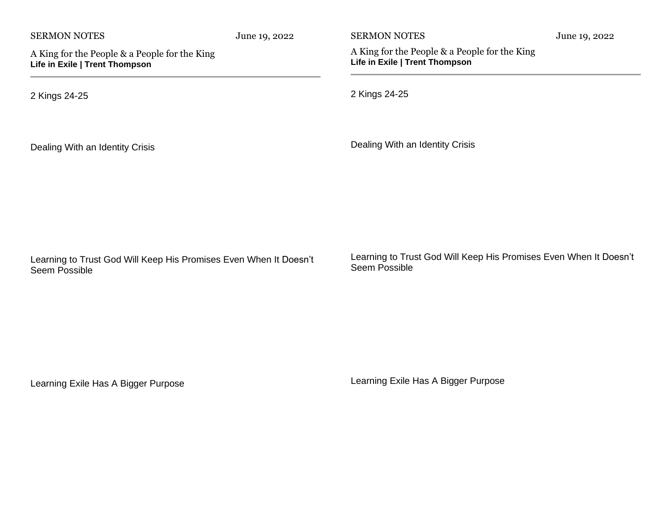| <b>SERMON NOTES</b>                                                                | June 19, 2022 | <b>SERMON NOTES</b>                                                                | June 19, 2022 |
|------------------------------------------------------------------------------------|---------------|------------------------------------------------------------------------------------|---------------|
| A King for the People & a People for the King<br>Life in Exile   Trent Thompson    |               | A King for the People & a People for the King<br>Life in Exile   Trent Thompson    |               |
| 2 Kings 24-25                                                                      |               | 2 Kings 24-25                                                                      |               |
| Dealing With an Identity Crisis                                                    |               | Dealing With an Identity Crisis                                                    |               |
| Learning to Trust God Will Keep His Promises Even When It Doesn't<br>Seem Possible |               | Learning to Trust God Will Keep His Promises Even When It Doesn't<br>Seem Possible |               |

Learning Exile Has A Bigger Purpose

Learning Exile Has A Bigger Purpose